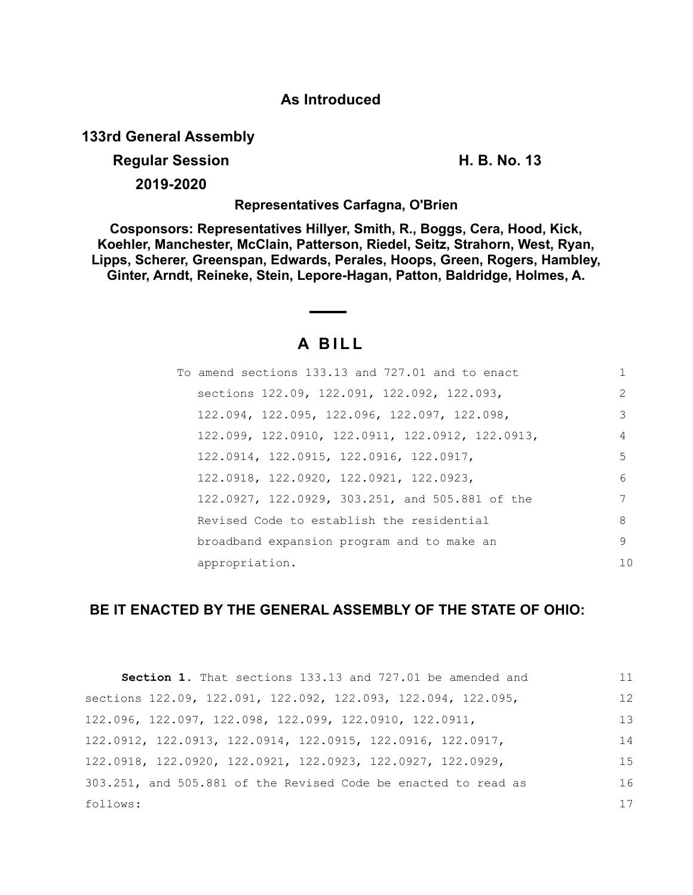### **As Introduced**

**133rd General Assembly**

## **Regular Session H. B. No. 13**

**2019-2020**

**Representatives Carfagna, O'Brien**

**Cosponsors: Representatives Hillyer, Smith, R., Boggs, Cera, Hood, Kick, Koehler, Manchester, McClain, Patterson, Riedel, Seitz, Strahorn, West, Ryan, Lipps, Scherer, Greenspan, Edwards, Perales, Hoops, Green, Rogers, Hambley, Ginter, Arndt, Reineke, Stein, Lepore-Hagan, Patton, Baldridge, Holmes, A.**

# **A B I L L**

| To amend sections 133.13 and 727.01 and to enact |     |
|--------------------------------------------------|-----|
| sections 122.09, 122.091, 122.092, 122.093,      | 2   |
| 122.094, 122.095, 122.096, 122.097, 122.098,     | 3   |
| 122.099, 122.0910, 122.0911, 122.0912, 122.0913, | 4   |
| 122,0914, 122,0915, 122,0916, 122,0917,          | 5   |
| 122,0918, 122,0920, 122,0921, 122,0923,          | 6   |
| 122.0927, 122.0929, 303.251, and 505.881 of the  | 7   |
| Revised Code to establish the residential        | 8   |
| broadband expansion program and to make an       | 9   |
| appropriation.                                   | 1 N |

### **BE IT ENACTED BY THE GENERAL ASSEMBLY OF THE STATE OF OHIO:**

| <b>Section 1.</b> That sections 133.13 and 727.01 be amended and          | 11  |
|---------------------------------------------------------------------------|-----|
| sections 122.09, 122.091, 122.092, 122.093, 122.094, 122.095,             | 12  |
| $122.096$ , $122.097$ , $122.098$ , $122.099$ , $122.0910$ , $122.0911$ , | 13  |
| 122.0912, 122.0913, 122.0914, 122.0915, 122.0916, 122.0917,               | 14  |
| 122.0918, 122.0920, 122.0921, 122.0923, 122.0927, 122.0929,               | 1.5 |
| 303.251, and 505.881 of the Revised Code be enacted to read as            | 16  |
| follows:                                                                  | 17  |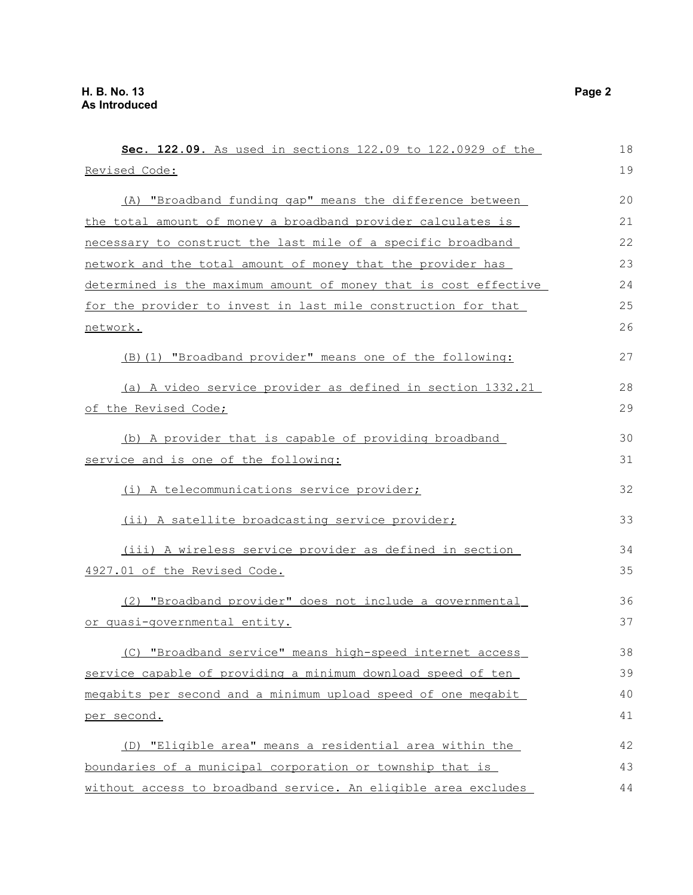| Sec. 122.09. As used in sections 122.09 to 122.0929 of the       | 18 |
|------------------------------------------------------------------|----|
| Revised Code:                                                    | 19 |
| (A) "Broadband funding gap" means the difference between         | 20 |
| the total amount of money a broadband provider calculates is     | 21 |
| necessary to construct the last mile of a specific broadband     | 22 |
| network and the total amount of money that the provider has      | 23 |
| determined is the maximum amount of money that is cost effective | 24 |
| for the provider to invest in last mile construction for that    | 25 |
| network.                                                         | 26 |
| (B) (1) "Broadband provider" means one of the following:         | 27 |
| (a) A video service provider as defined in section 1332.21       | 28 |
| of the Revised Code;                                             | 29 |
| (b) A provider that is capable of providing broadband            | 30 |
| service and is one of the following:                             | 31 |
| (i) A telecommunications service provider;                       | 32 |
| (ii) A satellite broadcasting service provider;                  | 33 |
| (iii) A wireless service provider as defined in section          | 34 |
| 4927.01 of the Revised Code.                                     | 35 |
| (2) "Broadband provider" does not include a governmental         | 36 |
| or quasi-qovernmental entity.                                    | 37 |
| (C) "Broadband service" means high-speed internet access         | 38 |
| service capable of providing a minimum download speed of ten     | 39 |
| megabits per second and a minimum upload speed of one megabit    | 40 |
| per second.                                                      | 41 |
| (D) "Eligible area" means a residential area within the          | 42 |
| boundaries of a municipal corporation or township that is        | 43 |
| without access to broadband service. An eligible area excludes   | 44 |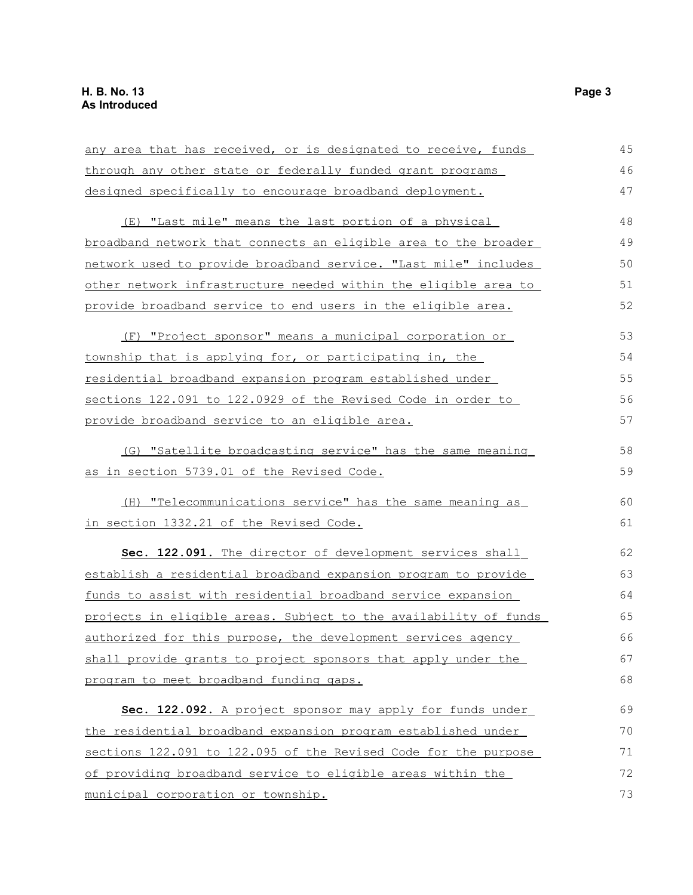| any area that has received, or is designated to receive, funds   | 45 |
|------------------------------------------------------------------|----|
| through any other state or federally funded grant programs       | 46 |
| designed specifically to encourage broadband deployment.         | 47 |
| (E) "Last mile" means the last portion of a physical             | 48 |
| broadband network that connects an eligible area to the broader  | 49 |
| network used to provide broadband service. "Last mile" includes  | 50 |
| other network infrastructure needed within the eligible area to  | 51 |
| provide broadband service to end users in the eligible area.     | 52 |
| (F) "Project sponsor" means a municipal corporation or           | 53 |
| township that is applying for, or participating in, the          | 54 |
| residential broadband expansion program established under        | 55 |
| sections 122.091 to 122.0929 of the Revised Code in order to     | 56 |
| provide broadband service to an eligible area.                   | 57 |
| (G) "Satellite broadcasting service" has the same meaning        | 58 |
| as in section 5739.01 of the Revised Code.                       | 59 |
| (H) "Telecommunications service" has the same meaning as         | 60 |
| in section 1332.21 of the Revised Code.                          | 61 |
| Sec. 122.091. The director of development services shall         | 62 |
| establish a residential broadband expansion program to provide   | 63 |
| funds to assist with residential broadband service expansion     | 64 |
| projects in eligible areas. Subject to the availability of funds | 65 |
| authorized for this purpose, the development services agency     | 66 |
| shall provide grants to project sponsors that apply under the    | 67 |
| program to meet broadband funding gaps.                          | 68 |
| Sec. 122.092. A project sponsor may apply for funds under        | 69 |
| the residential broadband expansion program established under    | 70 |
| sections 122.091 to 122.095 of the Revised Code for the purpose  | 71 |
| of providing broadband service to eligible areas within the      | 72 |
| municipal corporation or township.                               | 73 |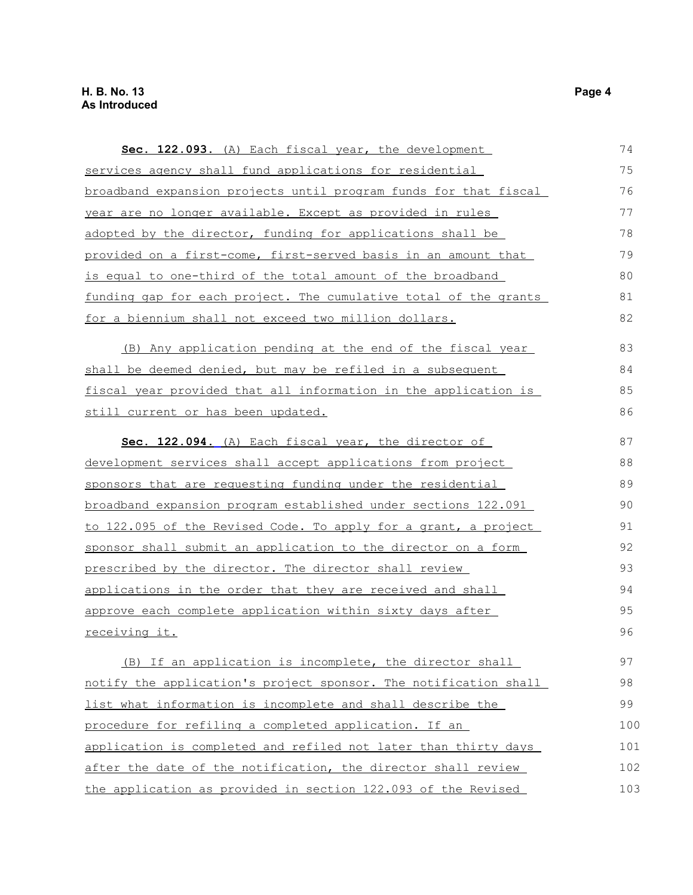| Sec. 122.093. (A) Each fiscal year, the development              | 74  |
|------------------------------------------------------------------|-----|
| services agency shall fund applications for residential          | 75  |
| broadband expansion projects until program funds for that fiscal | 76  |
| year are no longer available. Except as provided in rules        | 77  |
| adopted by the director, funding for applications shall be       | 78  |
| provided on a first-come, first-served basis in an amount that   | 79  |
| is equal to one-third of the total amount of the broadband       | 80  |
| funding gap for each project. The cumulative total of the grants | 81  |
| for a biennium shall not exceed two million dollars.             | 82  |
| (B) Any application pending at the end of the fiscal year        | 83  |
| shall be deemed denied, but may be refiled in a subsequent       | 84  |
| fiscal year provided that all information in the application is  | 85  |
| still current or has been updated.                               | 86  |
| Sec. 122.094. (A) Each fiscal year, the director of              | 87  |
| development services shall accept applications from project      | 88  |
| sponsors that are requesting funding under the residential       | 89  |
| broadband expansion program established under sections 122.091   | 90  |
| to 122.095 of the Revised Code. To apply for a grant, a project  | 91  |
| sponsor shall submit an application to the director on a form    | 92  |
| prescribed by the director. The director shall review            | 93  |
| applications in the order that they are received and shall       | 94  |
| approve each complete application within sixty days after        | 95  |
| <u>receiving it.</u>                                             | 96  |
| (B) If an application is incomplete, the director shall          | 97  |
| notify the application's project sponsor. The notification shall | 98  |
| list what information is incomplete and shall describe the       | 99  |
| procedure for refiling a completed application. If an            | 100 |
| application is completed and refiled not later than thirty days  | 101 |
| after the date of the notification, the director shall review    | 102 |
| the application as provided in section 122.093 of the Revised    | 103 |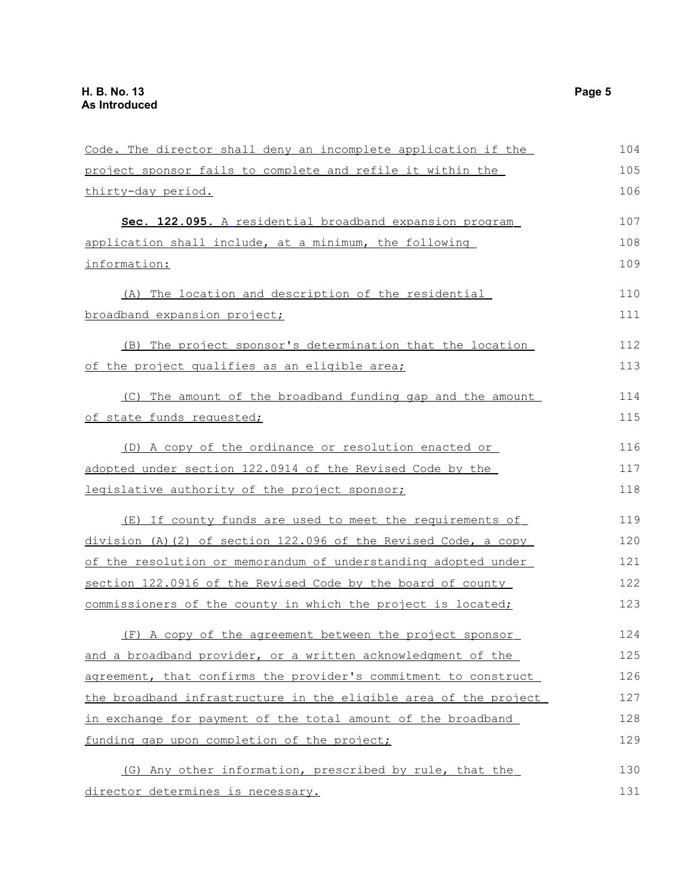| Code. The director shall deny an incomplete application if the   | 104 |
|------------------------------------------------------------------|-----|
| project sponsor fails to complete and refile it within the       | 105 |
| thirty-day period.                                               | 106 |
| Sec. 122.095. A residential broadband expansion program          | 107 |
| application shall include, at a minimum, the following           | 108 |
| information:                                                     | 109 |
| (A) The location and description of the residential              | 110 |
| broadband expansion project;                                     | 111 |
| (B) The project sponsor's determination that the location        | 112 |
| of the project qualifies as an eligible area;                    | 113 |
| (C) The amount of the broadband funding gap and the amount       | 114 |
| of state funds requested;                                        | 115 |
| (D) A copy of the ordinance or resolution enacted or             | 116 |
| adopted under section 122.0914 of the Revised Code by the        | 117 |
| legislative authority of the project sponsor;                    | 118 |
| (E) If county funds are used to meet the requirements of         | 119 |
| division (A)(2) of section 122.096 of the Revised Code, a copy   | 120 |
| of the resolution or memorandum of understanding adopted under   | 121 |
| section 122.0916 of the Revised Code by the board of county      | 122 |
| commissioners of the county in which the project is located;     | 123 |
| (F) A copy of the agreement between the project sponsor          | 124 |
| and a broadband provider, or a written acknowledgment of the     | 125 |
| agreement, that confirms the provider's commitment to construct  | 126 |
| the broadband infrastructure in the eligible area of the project | 127 |
| in exchange for payment of the total amount of the broadband     | 128 |
| funding gap upon completion of the project;                      | 129 |
| (G) Any other information, prescribed by rule, that the          | 130 |
| director determines is necessary.                                | 131 |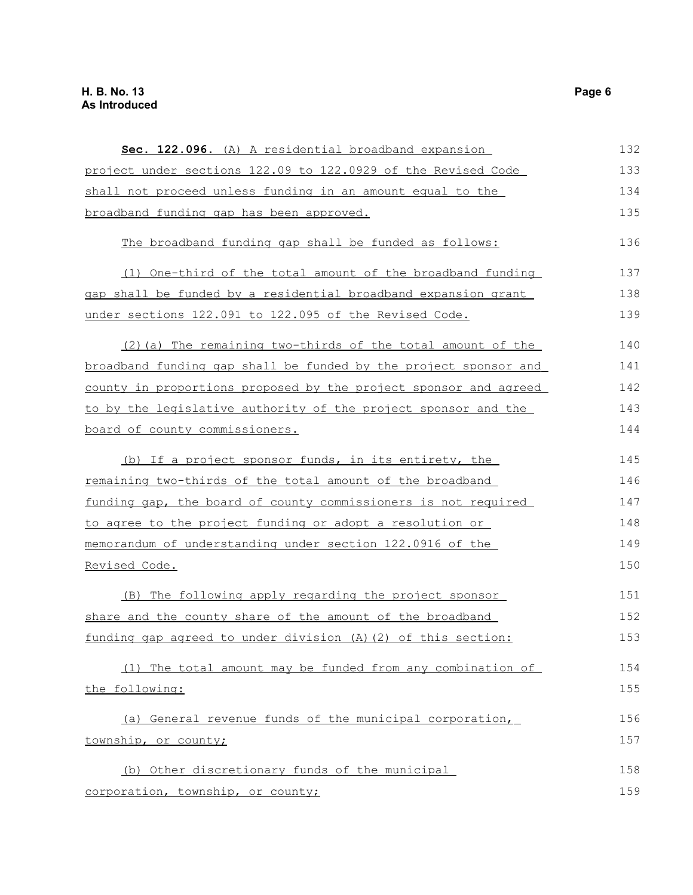### **H. B. No. 13 Page 6 As Introduced**

| Sec. 122.096. (A) A residential broadband expansion              | 132 |
|------------------------------------------------------------------|-----|
| project under sections 122.09 to 122.0929 of the Revised Code    | 133 |
| shall not proceed unless funding in an amount equal to the       | 134 |
| broadband funding gap has been approved.                         | 135 |
| The broadband funding gap shall be funded as follows:            | 136 |
| (1) One-third of the total amount of the broadband funding       | 137 |
| gap shall be funded by a residential broadband expansion grant   | 138 |
| under sections 122.091 to 122.095 of the Revised Code.           | 139 |
| (2) (a) The remaining two-thirds of the total amount of the      | 140 |
| broadband funding gap shall be funded by the project sponsor and | 141 |
| county in proportions proposed by the project sponsor and agreed | 142 |
| to by the legislative authority of the project sponsor and the   | 143 |
| board of county commissioners.                                   | 144 |
| (b) If a project sponsor funds, in its entirety, the             | 145 |
| remaining two-thirds of the total amount of the broadband        | 146 |
| funding gap, the board of county commissioners is not required   | 147 |
| to agree to the project funding or adopt a resolution or         | 148 |
| memorandum of understanding under section 122.0916 of the        | 149 |
| Revised Code.                                                    | 150 |
| (B) The following apply regarding the project sponsor            | 151 |
| share and the county share of the amount of the broadband        | 152 |
| funding gap agreed to under division (A) (2) of this section:    | 153 |
| (1) The total amount may be funded from any combination of       | 154 |
| the following:                                                   | 155 |
| (a) General revenue funds of the municipal corporation,          | 156 |
| township, or county;                                             | 157 |
| (b) Other discretionary funds of the municipal                   | 158 |
| corporation, township, or county;                                | 159 |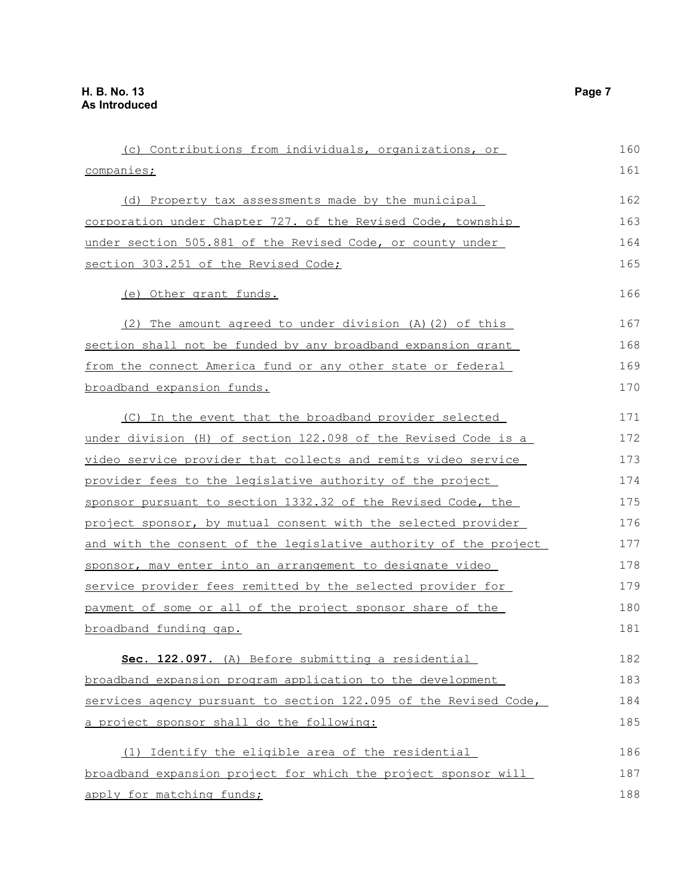| (c) Contributions from individuals, organizations, or            | 160 |
|------------------------------------------------------------------|-----|
| companies;                                                       | 161 |
| (d) Property tax assessments made by the municipal               | 162 |
| corporation under Chapter 727. of the Revised Code, township     | 163 |
| under section 505.881 of the Revised Code, or county under       | 164 |
| section 303.251 of the Revised Code;                             | 165 |
| (e) Other grant funds.                                           | 166 |
| (2) The amount agreed to under division (A) (2) of this          | 167 |
| section shall not be funded by any broadband expansion grant     | 168 |
| from the connect America fund or any other state or federal      | 169 |
| broadband expansion funds.                                       | 170 |
| (C) In the event that the broadband provider selected            | 171 |
| under division (H) of section 122.098 of the Revised Code is a   | 172 |
| video service provider that collects and remits video service    | 173 |
| provider fees to the legislative authority of the project        | 174 |
| sponsor pursuant to section 1332.32 of the Revised Code, the     | 175 |
| project sponsor, by mutual consent with the selected provider    | 176 |
| and with the consent of the legislative authority of the project | 177 |
| sponsor, may enter into an arrangement to designate video        | 178 |
| service provider fees remitted by the selected provider for      | 179 |
| payment of some or all of the project sponsor share of the       | 180 |
| broadband funding gap.                                           | 181 |
| Sec. 122.097. (A) Before submitting a residential                | 182 |
| broadband expansion program application to the development       | 183 |
| services agency pursuant to section 122.095 of the Revised Code, | 184 |
| a project sponsor shall do the following:                        | 185 |
| (1) Identify the eligible area of the residential                | 186 |
| broadband expansion project for which the project sponsor will   | 187 |
| apply for matching funds;                                        | 188 |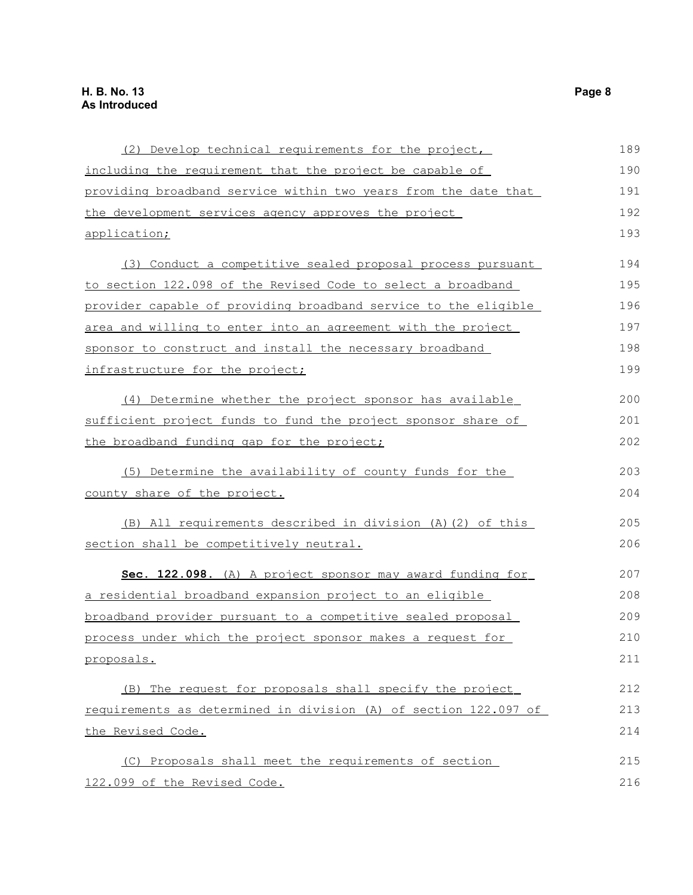| (2) Develop technical requirements for the project,              | 189 |
|------------------------------------------------------------------|-----|
| including the requirement that the project be capable of         | 190 |
| providing broadband service within two years from the date that  | 191 |
| the development services agency approves the project             | 192 |
| application;                                                     | 193 |
| (3) Conduct a competitive sealed proposal process pursuant       | 194 |
| to section 122.098 of the Revised Code to select a broadband     | 195 |
| provider capable of providing broadband service to the eligible  | 196 |
| area and willing to enter into an agreement with the project     | 197 |
| sponsor to construct and install the necessary broadband         | 198 |
| infrastructure for the project;                                  | 199 |
| (4) Determine whether the project sponsor has available          | 200 |
| sufficient project funds to fund the project sponsor share of    | 201 |
| the broadband funding gap for the project;                       | 202 |
| (5) Determine the availability of county funds for the           | 203 |
| county share of the project.                                     | 204 |
| (B) All requirements described in division (A) (2) of this       | 205 |
| section shall be competitively neutral.                          | 206 |
| Sec. 122.098. (A) A project sponsor may award funding for        | 207 |
| a residential broadband expansion project to an eligible         | 208 |
| broadband provider pursuant to a competitive sealed proposal     | 209 |
| process under which the project sponsor makes a request for      | 210 |
| proposals.                                                       | 211 |
| (B) The request for proposals shall specify the project          | 212 |
| requirements as determined in division (A) of section 122.097 of | 213 |
| the Revised Code.                                                | 214 |
| (C) Proposals shall meet the requirements of section             | 215 |
| 122.099 of the Revised Code.                                     | 216 |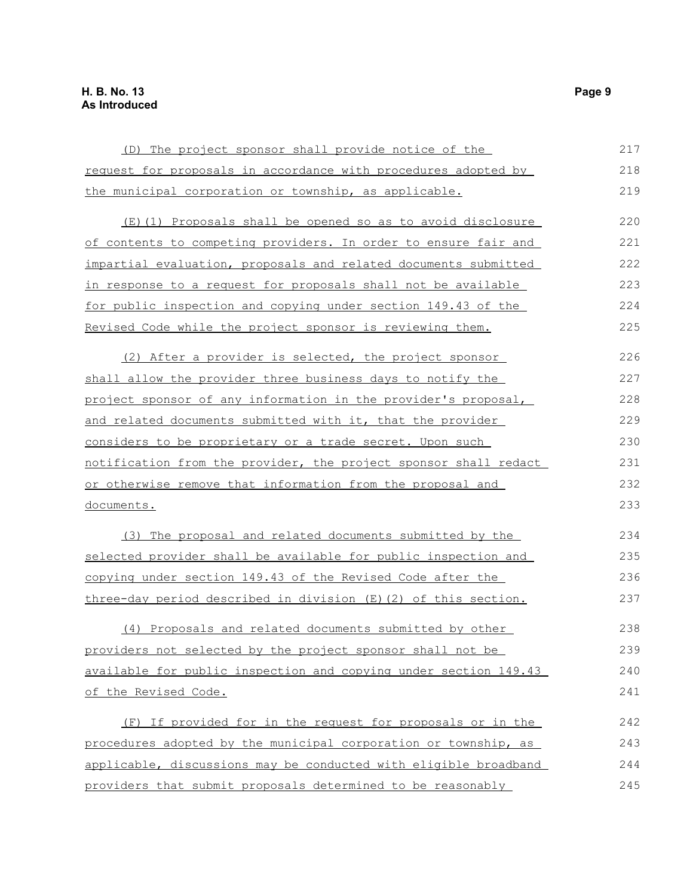| (D) The project sponsor shall provide notice of the              | 217 |
|------------------------------------------------------------------|-----|
| request for proposals in accordance with procedures adopted by   | 218 |
| the municipal corporation or township, as applicable.            | 219 |
| (E)(1) Proposals shall be opened so as to avoid disclosure       | 220 |
| of contents to competing providers. In order to ensure fair and  | 221 |
| impartial evaluation, proposals and related documents submitted  | 222 |
| in response to a request for proposals shall not be available    | 223 |
| for public inspection and copying under section 149.43 of the    | 224 |
| Revised Code while the project sponsor is reviewing them.        | 225 |
| (2) After a provider is selected, the project sponsor            | 226 |
| shall allow the provider three business days to notify the       | 227 |
| project sponsor of any information in the provider's proposal,   | 228 |
| and related documents submitted with it, that the provider       | 229 |
| considers to be proprietary or a trade secret. Upon such         | 230 |
| notification from the provider, the project sponsor shall redact | 231 |
| or otherwise remove that information from the proposal and       | 232 |
| documents.                                                       | 233 |
| (3) The proposal and related documents submitted by the          | 234 |
| selected provider shall be available for public inspection and   | 235 |
| copying under section 149.43 of the Revised Code after the       | 236 |
| three-day period described in division (E) (2) of this section.  | 237 |
| (4) Proposals and related documents submitted by other           | 238 |
| providers not selected by the project sponsor shall not be       | 239 |
| available for public inspection and copying under section 149.43 | 240 |
| of the Revised Code.                                             | 241 |
| (F) If provided for in the request for proposals or in the       | 242 |
| procedures adopted by the municipal corporation or township, as  | 243 |
| applicable, discussions may be conducted with eligible broadband | 244 |
| providers that submit proposals determined to be reasonably      | 245 |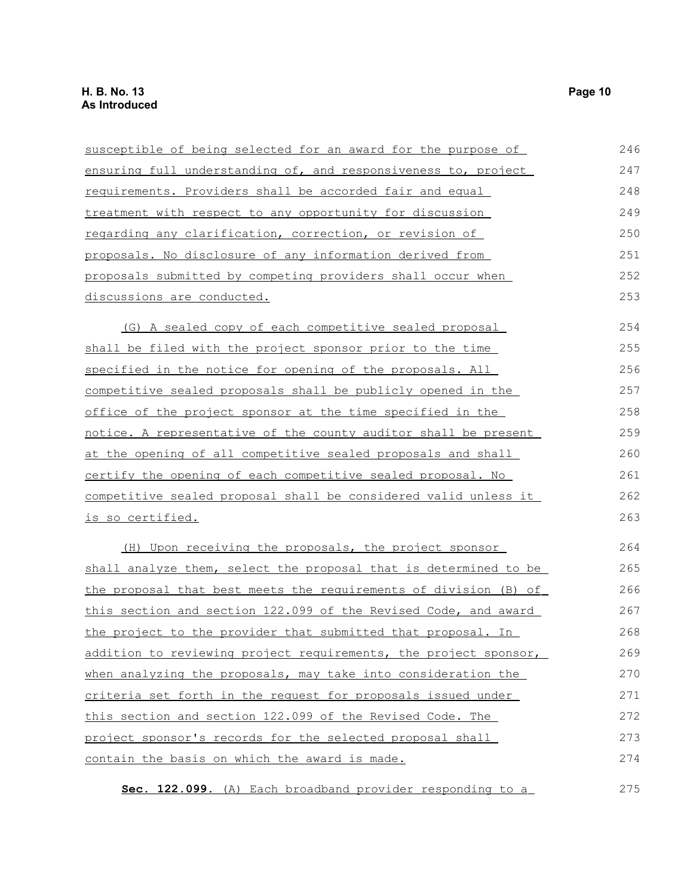| susceptible of being selected for an award for the purpose of       | 246 |
|---------------------------------------------------------------------|-----|
| ensuring full understanding of, and responsiveness to, project      | 247 |
| requirements. Providers shall be accorded fair and equal            | 248 |
| treatment with respect to any opportunity for discussion            | 249 |
| regarding any clarification, correction, or revision of             | 250 |
| proposals. No disclosure of any information derived from            | 251 |
| proposals submitted by competing providers shall occur when         | 252 |
| discussions are conducted.                                          | 253 |
| (G) A sealed copy of each competitive sealed proposal               | 254 |
| shall be filed with the project sponsor prior to the time           | 255 |
| specified in the notice for opening of the proposals. All           | 256 |
| <u>competitive sealed proposals shall be publicly opened in the</u> | 257 |
| office of the project sponsor at the time specified in the          | 258 |
| notice. A representative of the county auditor shall be present     | 259 |
| at the opening of all competitive sealed proposals and shall        | 260 |
| certify the opening of each competitive sealed proposal. No         | 261 |
| competitive sealed proposal shall be considered valid unless it     | 262 |
| <u>is so certified.</u>                                             | 263 |
| (H) Upon receiving the proposals, the project sponsor               | 264 |
| shall analyze them, select the proposal that is determined to be    | 265 |
| the proposal that best meets the requirements of division (B) of    | 266 |
| this section and section 122.099 of the Revised Code, and award     | 267 |
| the project to the provider that submitted that proposal. In        | 268 |
| addition to reviewing project requirements, the project sponsor,    | 269 |
| when analyzing the proposals, may take into consideration the       | 270 |
| criteria set forth in the request for proposals issued under        | 271 |
| this section and section 122.099 of the Revised Code. The           | 272 |
| project sponsor's records for the selected proposal shall           | 273 |
| contain the basis on which the award is made.                       | 274 |
| Sec. 122.099. (A) Each broadband provider responding to a           | 275 |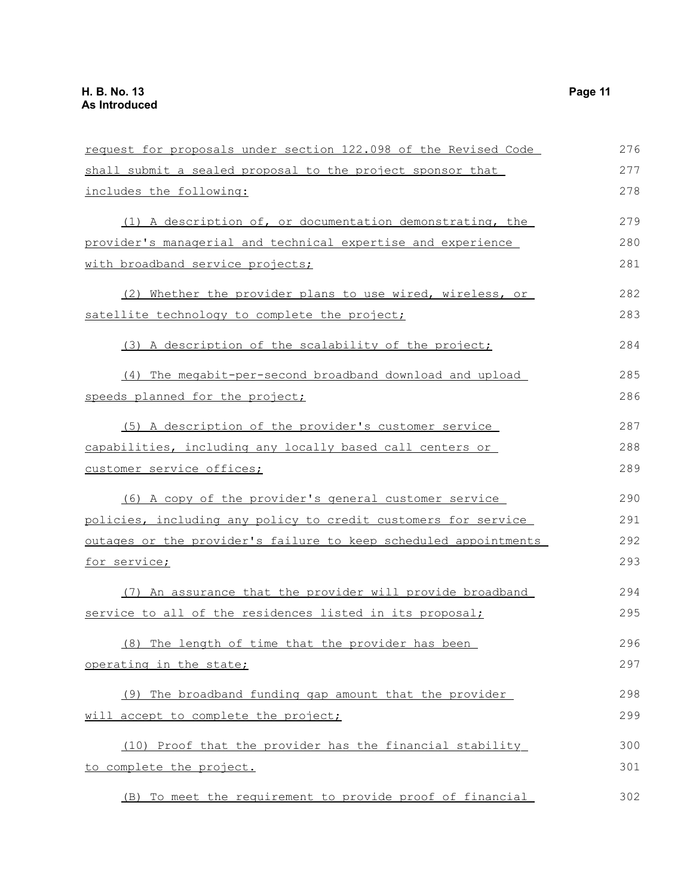| request for proposals under section 122.098 of the Revised Code  | 276 |
|------------------------------------------------------------------|-----|
| shall submit a sealed proposal to the project sponsor that       | 277 |
| includes the following:                                          | 278 |
| (1) A description of, or documentation demonstrating, the        | 279 |
| provider's managerial and technical expertise and experience     | 280 |
| with broadband service projects;                                 | 281 |
| (2) Whether the provider plans to use wired, wireless, or        | 282 |
| satellite technology to complete the project;                    | 283 |
| (3) A description of the scalability of the project;             | 284 |
| (4) The megabit-per-second broadband download and upload         | 285 |
| speeds planned for the project;                                  | 286 |
| (5) A description of the provider's customer service             | 287 |
| capabilities, including any locally based call centers or        | 288 |
| customer service offices;                                        | 289 |
| (6) A copy of the provider's general customer service            | 290 |
| policies, including any policy to credit customers for service   | 291 |
| outages or the provider's failure to keep scheduled appointments | 292 |
| for service;                                                     | 293 |
| (7) An assurance that the provider will provide broadband        | 294 |
| service to all of the residences listed in its proposal;         | 295 |
| (8) The length of time that the provider has been                | 296 |
| operating in the state;                                          | 297 |
| (9) The broadband funding gap amount that the provider           | 298 |
| will accept to complete the project;                             | 299 |
| (10) Proof that the provider has the financial stability         | 300 |
| to complete the project.                                         | 301 |
| (B) To meet the requirement to provide proof of financial        | 302 |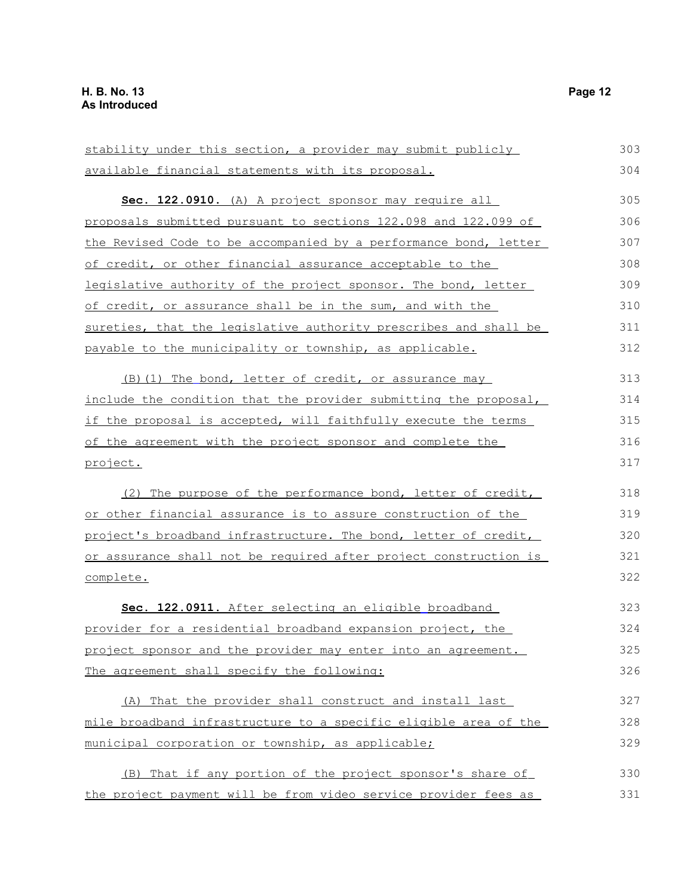stability under this section, a provider may submit publicly available financial statements with its proposal. **Sec. 122.0910.** (A) A project sponsor may require all proposals submitted pursuant to sections 122.098 and 122.099 of the Revised Code to be accompanied by a performance bond, letter of credit, or other financial assurance acceptable to the legislative authority of the project sponsor. The bond, letter of credit, or assurance shall be in the sum, and with the sureties, that the legislative authority prescribes and shall be payable to the municipality or township, as applicable. (B)(1) The bond, letter of credit, or assurance may include the condition that the provider submitting the proposal, if the proposal is accepted, will faithfully execute the terms of the agreement with the project sponsor and complete the project. (2) The purpose of the performance bond, letter of credit, or other financial assurance is to assure construction of the project's broadband infrastructure. The bond, letter of credit, or assurance shall not be required after project construction is complete. **Sec. 122.0911.** After selecting an eligible broadband provider for a residential broadband expansion project, the project sponsor and the provider may enter into an agreement. The agreement shall specify the following: (A) That the provider shall construct and install last mile broadband infrastructure to a specific eligible area of the municipal corporation or township, as applicable; (B) That if any portion of the project sponsor's share of the project payment will be from video service provider fees as 303 304 305 306 307 308 309 310 311 312 313 314 315 316 317 318 319 320 321 322 323 324 325 326 327 328 329 330 331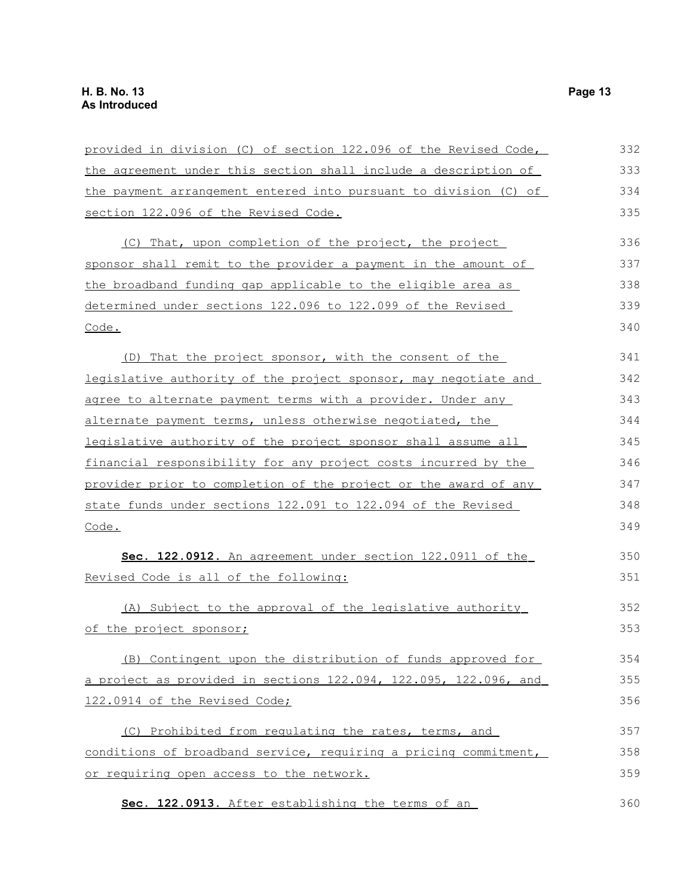| provided in division (C) of section 122.096 of the Revised Code, | 332 |
|------------------------------------------------------------------|-----|
| the agreement under this section shall include a description of  | 333 |
| the payment arrangement entered into pursuant to division (C) of | 334 |
| section 122.096 of the Revised Code.                             | 335 |
| (C) That, upon completion of the project, the project            | 336 |
| sponsor shall remit to the provider a payment in the amount of   | 337 |
| the broadband funding gap applicable to the eligible area as     | 338 |
| determined under sections 122.096 to 122.099 of the Revised      | 339 |
| Code.                                                            | 340 |
| (D) That the project sponsor, with the consent of the            | 341 |
| legislative authority of the project sponsor, may negotiate and  | 342 |
| agree to alternate payment terms with a provider. Under any      | 343 |
| alternate payment terms, unless otherwise negotiated, the        | 344 |
| legislative authority of the project sponsor shall assume all    | 345 |
| financial responsibility for any project costs incurred by the   | 346 |
| provider prior to completion of the project or the award of any  | 347 |
| state funds under sections 122.091 to 122.094 of the Revised     | 348 |
| Code.                                                            | 349 |
| Sec. 122.0912. An agreement under section 122.0911 of the        | 350 |
| Revised Code is all of the following:                            | 351 |
| (A) Subject to the approval of the legislative authority         | 352 |
| of the project sponsor;                                          | 353 |
| (B) Contingent upon the distribution of funds approved for       | 354 |
| a project as provided in sections 122.094, 122.095, 122.096, and | 355 |
| 122.0914 of the Revised Code;                                    | 356 |
| (C) Prohibited from requlating the rates, terms, and             | 357 |
| conditions of broadband service, requiring a pricing commitment, | 358 |
| or requiring open access to the network.                         | 359 |
| Sec. 122.0913. After establishing the terms of an                | 360 |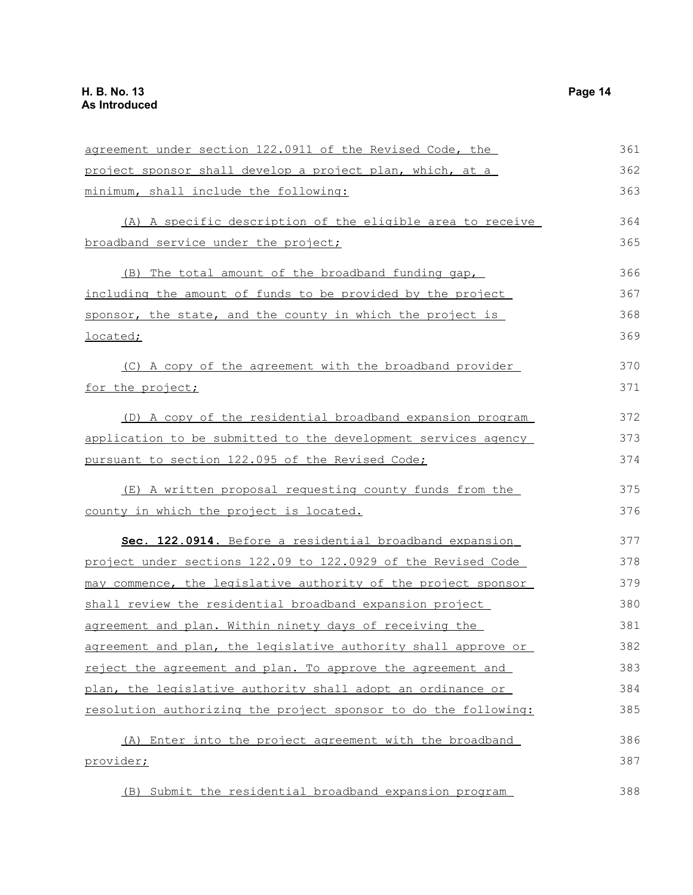| agreement under section 122.0911 of the Revised Code, the       | 361 |
|-----------------------------------------------------------------|-----|
| project sponsor shall develop a project plan, which, at a       | 362 |
| minimum, shall include the following:                           | 363 |
| (A) A specific description of the eligible area to receive      | 364 |
| broadband service under the project;                            | 365 |
| (B) The total amount of the broadband funding gap,              | 366 |
| including the amount of funds to be provided by the project     | 367 |
| sponsor, the state, and the county in which the project is      | 368 |
| <u>located;</u>                                                 | 369 |
| (C) A copy of the agreement with the broadband provider         | 370 |
| for the project;                                                | 371 |
| (D) A copy of the residential broadband expansion program       | 372 |
| application to be submitted to the development services agency  | 373 |
| pursuant to section 122.095 of the Revised Code;                | 374 |
| (E) A written proposal requesting county funds from the         | 375 |
| county in which the project is located.                         | 376 |
| Sec. 122.0914. Before a residential broadband expansion         | 377 |
| project under sections 122.09 to 122.0929 of the Revised Code   | 378 |
| may commence, the legislative authority of the project sponsor  | 379 |
| shall review the residential broadband expansion project        | 380 |
| agreement and plan. Within ninety days of receiving the         | 381 |
| agreement and plan, the legislative authority shall approve or  | 382 |
| reject the agreement and plan. To approve the agreement and     | 383 |
| plan, the legislative authority shall adopt an ordinance or     | 384 |
| resolution authorizing the project sponsor to do the following: | 385 |
| (A) Enter into the project agreement with the broadband         | 386 |
| provider;                                                       | 387 |
| (B) Submit the residential broadband expansion program          | 388 |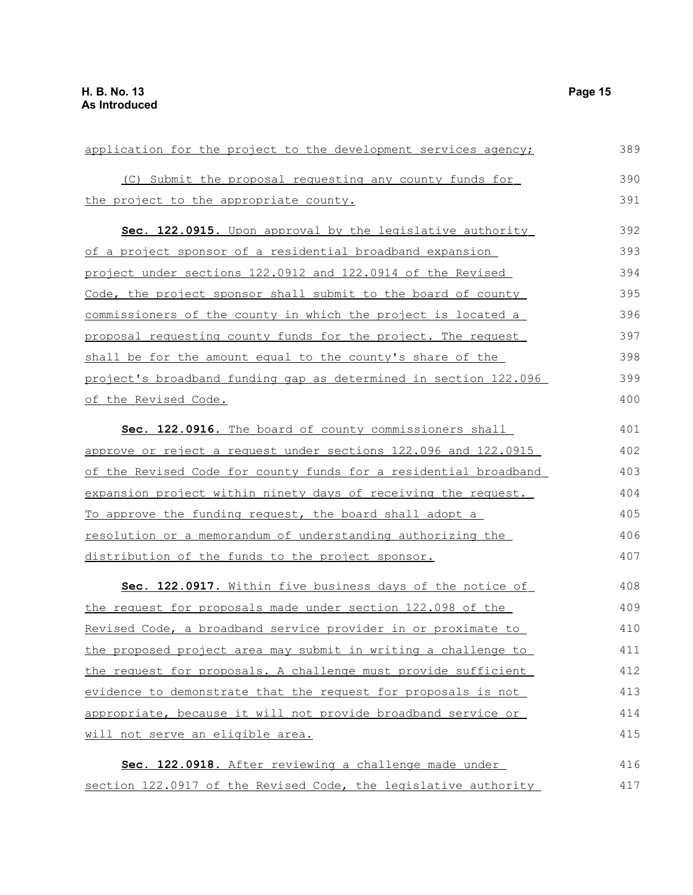| application for the project to the development services agency;  | 389 |
|------------------------------------------------------------------|-----|
| (C) Submit the proposal requesting any county funds for          | 390 |
| the project to the appropriate county.                           | 391 |
| <b>Sec. 122.0915.</b> Upon approval by the legislative authority | 392 |
| of a project sponsor of a residential broadband expansion        | 393 |
| project under sections 122.0912 and 122.0914 of the Revised      | 394 |
| Code, the project sponsor shall submit to the board of county    | 395 |
| commissioners of the county in which the project is located a    | 396 |
| proposal requesting county funds for the project. The request    | 397 |
| shall be for the amount equal to the county's share of the       | 398 |
| project's broadband funding gap as determined in section 122.096 | 399 |
| of the Revised Code.                                             | 400 |
| Sec. 122.0916. The board of county commissioners shall           | 401 |
| approve or reject a request under sections 122.096 and 122.0915  | 402 |
| of the Revised Code for county funds for a residential broadband | 403 |
| expansion project within ninety days of receiving the request.   | 404 |
| To approve the funding request, the board shall adopt a          | 405 |
| resolution or a memorandum of understanding authorizing the      | 406 |
| distribution of the funds to the project sponsor.                | 407 |
| Sec. 122.0917. Within five business days of the notice of        | 408 |
| the request for proposals made under section 122.098 of the      | 409 |
| Revised Code, a broadband service provider in or proximate to    | 410 |
| the proposed project area may submit in writing a challenge to   | 411 |
| the request for proposals. A challenge must provide sufficient   | 412 |
| evidence to demonstrate that the request for proposals is not    | 413 |
| appropriate, because it will not provide broadband service or    | 414 |
| will not serve an eligible area.                                 | 415 |
| Sec. 122.0918. After reviewing a challenge made under            | 416 |
| section 122.0917 of the Revised Code, the legislative authority  | 417 |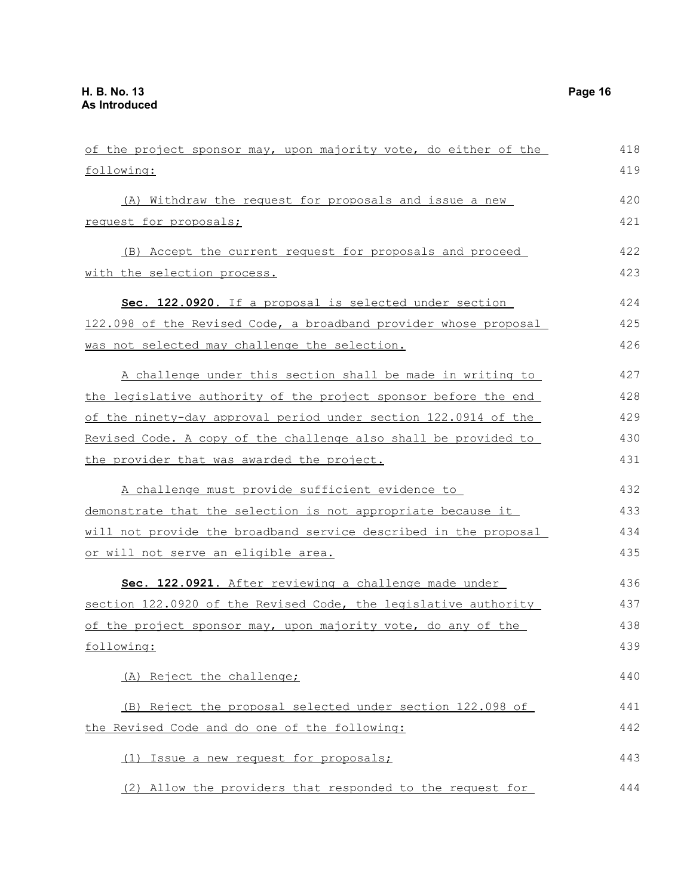| of the project sponsor may, upon majority vote, do either of the | 418 |
|------------------------------------------------------------------|-----|
| following:                                                       | 419 |
| (A) Withdraw the request for proposals and issue a new           | 420 |
| request for proposals;                                           | 421 |
| (B) Accept the current request for proposals and proceed         | 422 |
| with the selection process.                                      | 423 |
| Sec. 122.0920. If a proposal is selected under section           | 424 |
| 122.098 of the Revised Code, a broadband provider whose proposal | 425 |
| was not selected may challenge the selection.                    | 426 |
| A challenge under this section shall be made in writing to       | 427 |
| the legislative authority of the project sponsor before the end  | 428 |
| of the ninety-day approval period under section 122.0914 of the  | 429 |
| Revised Code. A copy of the challenge also shall be provided to  | 430 |
| the provider that was awarded the project.                       | 431 |
| A challenge must provide sufficient evidence to                  | 432 |
| demonstrate that the selection is not appropriate because it     | 433 |
| will not provide the broadband service described in the proposal | 434 |
| or will not serve an eligible area.                              | 435 |
| Sec. 122.0921. After reviewing a challenge made under            | 436 |
| section 122.0920 of the Revised Code, the legislative authority  | 437 |
| of the project sponsor may, upon majority vote, do any of the    | 438 |
| following:                                                       | 439 |
| (A) Reject the challenge;                                        | 440 |
| (B) Reject the proposal selected under section 122.098 of        | 441 |
| the Revised Code and do one of the following:                    | 442 |
| (1) Issue a new request for proposals;                           | 443 |
| (2) Allow the providers that responded to the request for        | 444 |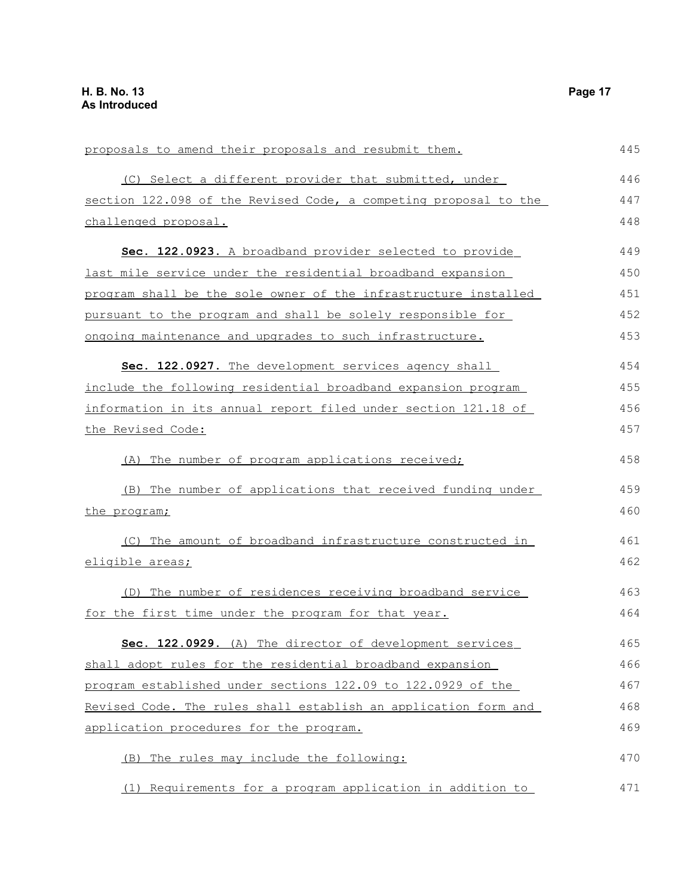| proposals to amend their proposals and resubmit them.            |     |
|------------------------------------------------------------------|-----|
| (C) Select a different provider that submitted, under            | 446 |
| section 122.098 of the Revised Code, a competing proposal to the | 447 |
| challenged proposal.                                             | 448 |
| Sec. 122.0923. A broadband provider selected to provide          | 449 |
| last mile service under the residential broadband expansion      | 450 |
| program shall be the sole owner of the infrastructure installed  | 451 |
| pursuant to the program and shall be solely responsible for      | 452 |
| ongoing maintenance and upgrades to such infrastructure.         | 453 |
| Sec. 122.0927. The development services agency shall             | 454 |
| include the following residential broadband expansion program    | 455 |
| information in its annual report filed under section 121.18 of   | 456 |
| the Revised Code:                                                | 457 |
| (A) The number of program applications received;                 | 458 |
| (B) The number of applications that received funding under       | 459 |
| the program;                                                     | 460 |
| (C) The amount of broadband infrastructure constructed in        | 461 |
| eligible areas;                                                  | 462 |
| (D) The number of residences receiving broadband service         | 463 |
| for the first time under the program for that year.              | 464 |
| Sec. 122.0929. (A) The director of development services          | 465 |
| shall adopt rules for the residential broadband expansion        | 466 |
| program established under sections 122.09 to 122.0929 of the     | 467 |
| Revised Code. The rules shall establish an application form and  | 468 |
| application procedures for the program.                          | 469 |
| The rules may include the following:<br>(B)                      | 470 |
| Requirements for a program application in addition to<br>(1)     | 471 |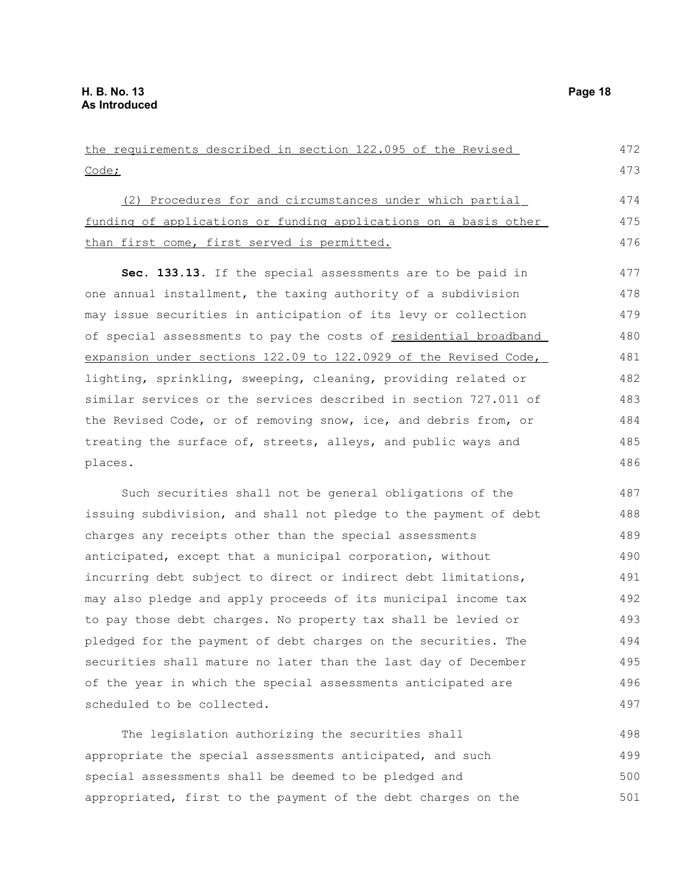scheduled to be collected.

the requirements described in section 122.095 of the Revised Code; (2) Procedures for and circumstances under which partial funding of applications or funding applications on a basis other than first come, first served is permitted. **Sec. 133.13.** If the special assessments are to be paid in one annual installment, the taxing authority of a subdivision may issue securities in anticipation of its levy or collection of special assessments to pay the costs of residential broadband expansion under sections 122.09 to 122.0929 of the Revised Code, lighting, sprinkling, sweeping, cleaning, providing related or similar services or the services described in section 727.011 of the Revised Code, or of removing snow, ice, and debris from, or treating the surface of, streets, alleys, and public ways and places. Such securities shall not be general obligations of the issuing subdivision, and shall not pledge to the payment of debt charges any receipts other than the special assessments anticipated, except that a municipal corporation, without incurring debt subject to direct or indirect debt limitations, may also pledge and apply proceeds of its municipal income tax to pay those debt charges. No property tax shall be levied or pledged for the payment of debt charges on the securities. The securities shall mature no later than the last day of December of the year in which the special assessments anticipated are 472 473 474 475 476 477 478 479 480 481 482 483 484 485 486 487 488 489 490 491 492 493 494 495 496

The legislation authorizing the securities shall appropriate the special assessments anticipated, and such special assessments shall be deemed to be pledged and appropriated, first to the payment of the debt charges on the 498 499 500 501

497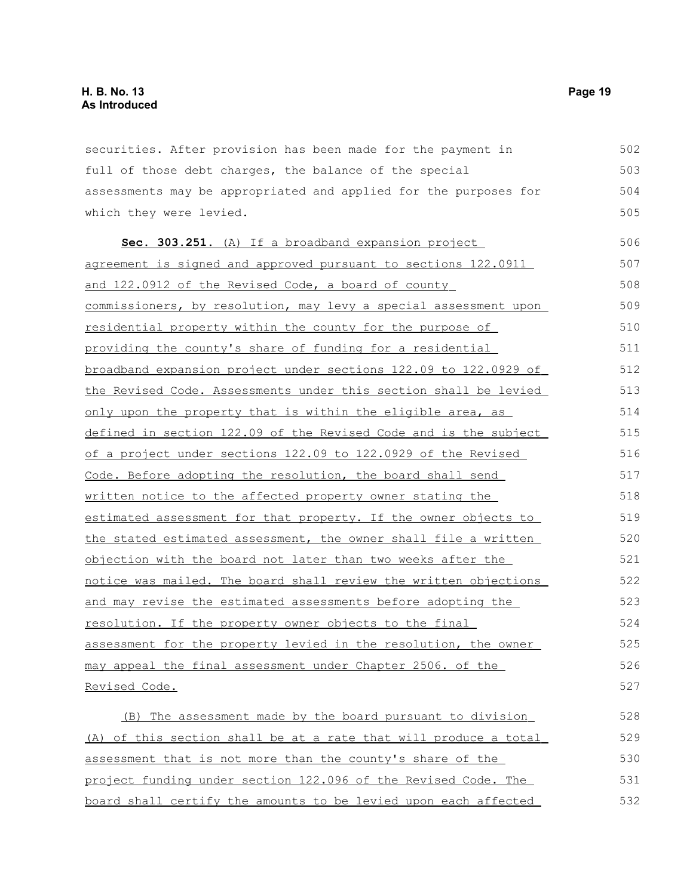securities. After provision has been made for the payment in full of those debt charges, the balance of the special assessments may be appropriated and applied for the purposes for which they were levied. 502 503 504 505

 **Sec. 303.251.** (A) If a broadband expansion project agreement is signed and approved pursuant to sections 122.0911 and 122.0912 of the Revised Code, a board of county commissioners, by resolution, may levy a special assessment upon residential property within the county for the purpose of providing the county's share of funding for a residential broadband expansion project under sections 122.09 to 122.0929 of the Revised Code. Assessments under this section shall be levied only upon the property that is within the eligible area, as defined in section 122.09 of the Revised Code and is the subject of a project under sections 122.09 to 122.0929 of the Revised Code. Before adopting the resolution, the board shall send written notice to the affected property owner stating the estimated assessment for that property. If the owner objects to the stated estimated assessment, the owner shall file a written objection with the board not later than two weeks after the notice was mailed. The board shall review the written objections and may revise the estimated assessments before adopting the resolution. If the property owner objects to the final assessment for the property levied in the resolution, the owner may appeal the final assessment under Chapter 2506. of the Revised Code. 506 507 508 509 510 511 512 513 514 515 516 517 518 519 520 521 522 523 524 525 526 527

 (B) The assessment made by the board pursuant to division (A) of this section shall be at a rate that will produce a total assessment that is not more than the county's share of the project funding under section 122.096 of the Revised Code. The board shall certify the amounts to be levied upon each affected 528 529 530 531 532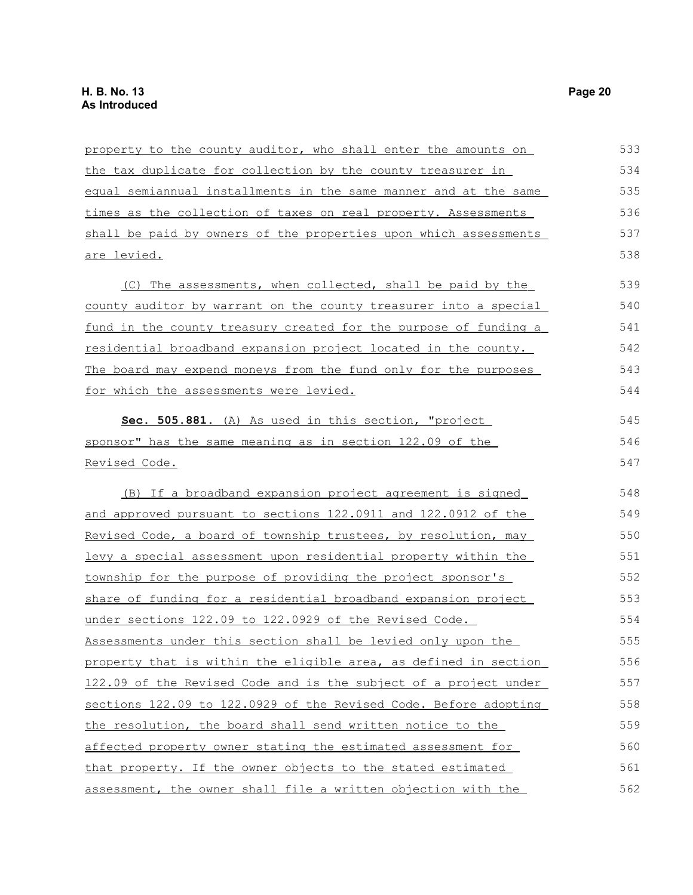| property to the county auditor, who shall enter the amounts on   | 533 |
|------------------------------------------------------------------|-----|
| the tax duplicate for collection by the county treasurer in      | 534 |
| equal semiannual installments in the same manner and at the same | 535 |
| times as the collection of taxes on real property. Assessments   | 536 |
| shall be paid by owners of the properties upon which assessments | 537 |
| are levied.                                                      | 538 |
|                                                                  |     |
| (C) The assessments, when collected, shall be paid by the        | 539 |
| county auditor by warrant on the county treasurer into a special | 540 |
| fund in the county treasury created for the purpose of funding a | 541 |
| residential broadband expansion project located in the county.   | 542 |
| The board may expend moneys from the fund only for the purposes  | 543 |
| for which the assessments were levied.                           | 544 |
| Sec. 505.881. (A) As used in this section, "project              | 545 |
| sponsor" has the same meaning as in section 122.09 of the        | 546 |
| <u>Revised Code.</u>                                             | 547 |
| (B) If a broadband expansion project agreement is signed         | 548 |
| and approved pursuant to sections 122.0911 and 122.0912 of the   | 549 |
| Revised Code, a board of township trustees, by resolution, may   | 550 |
| levy a special assessment upon residential property within the   | 551 |
| township for the purpose of providing the project sponsor's      | 552 |
| share of funding for a residential broadband expansion project   | 553 |
| under sections 122.09 to 122.0929 of the Revised Code.           | 554 |
| Assessments under this section shall be levied only upon the     | 555 |
| property that is within the eligible area, as defined in section | 556 |
| 122.09 of the Revised Code and is the subject of a project under | 557 |
| sections 122.09 to 122.0929 of the Revised Code. Before adopting | 558 |
| the resolution, the board shall send written notice to the       | 559 |
| affected property owner stating the estimated assessment for     | 560 |
| that property. If the owner objects to the stated estimated      | 561 |
| assessment, the owner shall file a written objection with the    | 562 |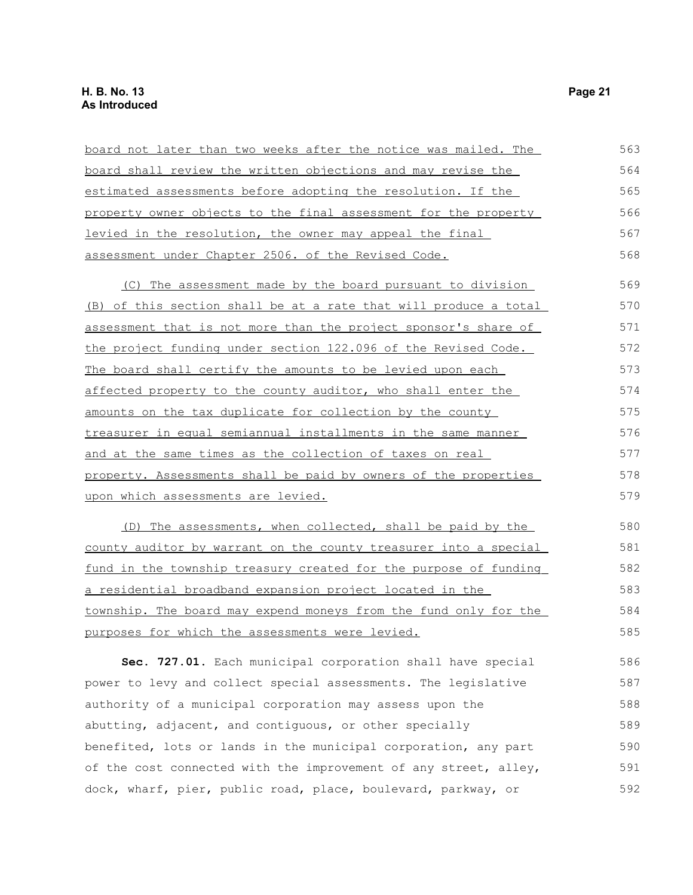| <u>board not later than two weeks after the notice was mailed. The </u> | 563 |
|-------------------------------------------------------------------------|-----|
| board shall review the written objections and may revise the            | 564 |
| estimated assessments before adopting the resolution. If the            | 565 |
| property owner objects to the final assessment for the property         | 566 |
| levied in the resolution, the owner may appeal the final                | 567 |
| assessment under Chapter 2506. of the Revised Code.                     | 568 |
| (C) The assessment made by the board pursuant to division               | 569 |
| <u>(B) of this section shall be at a rate that will produce a total</u> | 570 |
| assessment that is not more than the project sponsor's share of         | 571 |
| the project funding under section 122.096 of the Revised Code.          | 572 |
| The board shall certify the amounts to be levied upon each              | 573 |
| affected property to the county auditor, who shall enter the            | 574 |
| amounts on the tax duplicate for collection by the county               | 575 |
| treasurer in equal semiannual installments in the same manner           | 576 |
| and at the same times as the collection of taxes on real                | 577 |
| property. Assessments shall be paid by owners of the properties         | 578 |
| upon which assessments are levied.                                      | 579 |
| (D) The assessments, when collected, shall be paid by the               | 580 |
| county auditor by warrant on the county treasurer into a special        | 581 |
| fund in the township treasury created for the purpose of funding        | 582 |
| <u>a residential broadband expansion project located in the</u>         | 583 |
| <u>township. The board may expend moneys from the fund only for the</u> | 584 |
| purposes for which the assessments were levied.                         | 585 |
| Sec. 727.01. Each municipal corporation shall have special              | 586 |
| power to levy and collect special assessments. The legislative          | 587 |
| authority of a municipal corporation may assess upon the                | 588 |
| abutting, adjacent, and contiguous, or other specially                  | 589 |
| benefited, lots or lands in the municipal corporation, any part         | 590 |
| of the cost connected with the improvement of any street, alley,        | 591 |
| dock, wharf, pier, public road, place, boulevard, parkway, or           | 592 |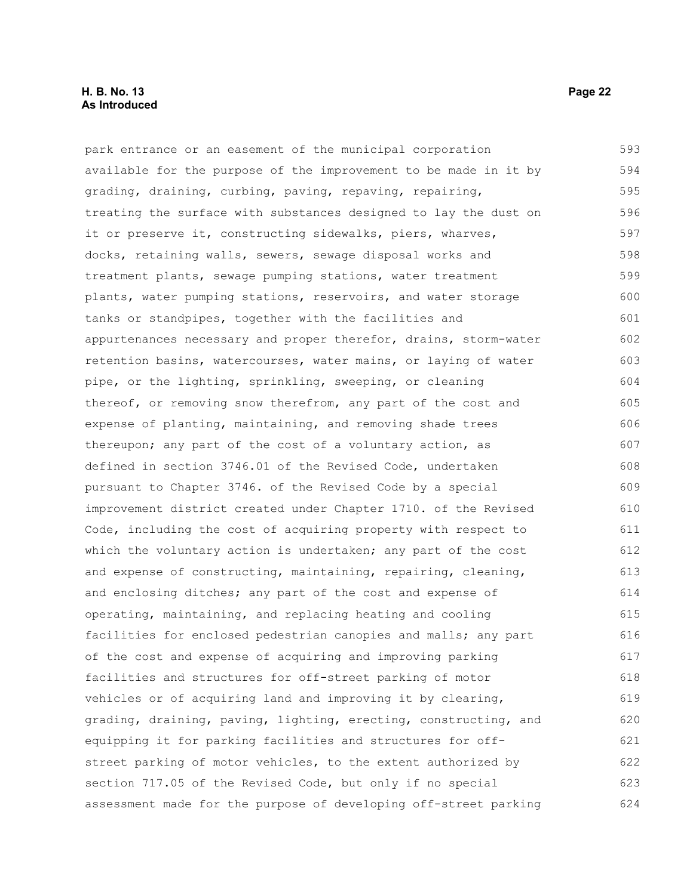#### **H. B. No. 13 Page 22 As Introduced**

park entrance or an easement of the municipal corporation available for the purpose of the improvement to be made in it by grading, draining, curbing, paving, repaving, repairing, treating the surface with substances designed to lay the dust on it or preserve it, constructing sidewalks, piers, wharves, docks, retaining walls, sewers, sewage disposal works and treatment plants, sewage pumping stations, water treatment plants, water pumping stations, reservoirs, and water storage tanks or standpipes, together with the facilities and appurtenances necessary and proper therefor, drains, storm-water retention basins, watercourses, water mains, or laying of water pipe, or the lighting, sprinkling, sweeping, or cleaning thereof, or removing snow therefrom, any part of the cost and expense of planting, maintaining, and removing shade trees thereupon; any part of the cost of a voluntary action, as defined in section 3746.01 of the Revised Code, undertaken pursuant to Chapter 3746. of the Revised Code by a special improvement district created under Chapter 1710. of the Revised Code, including the cost of acquiring property with respect to which the voluntary action is undertaken; any part of the cost and expense of constructing, maintaining, repairing, cleaning, and enclosing ditches; any part of the cost and expense of operating, maintaining, and replacing heating and cooling facilities for enclosed pedestrian canopies and malls; any part of the cost and expense of acquiring and improving parking facilities and structures for off-street parking of motor vehicles or of acquiring land and improving it by clearing, grading, draining, paving, lighting, erecting, constructing, and equipping it for parking facilities and structures for offstreet parking of motor vehicles, to the extent authorized by section 717.05 of the Revised Code, but only if no special assessment made for the purpose of developing off-street parking 593 594 595 596 597 598 599 600 601 602 603 604 605 606 607 608 609 610 611 612 613 614 615 616 617 618 619 620 621 622 623 624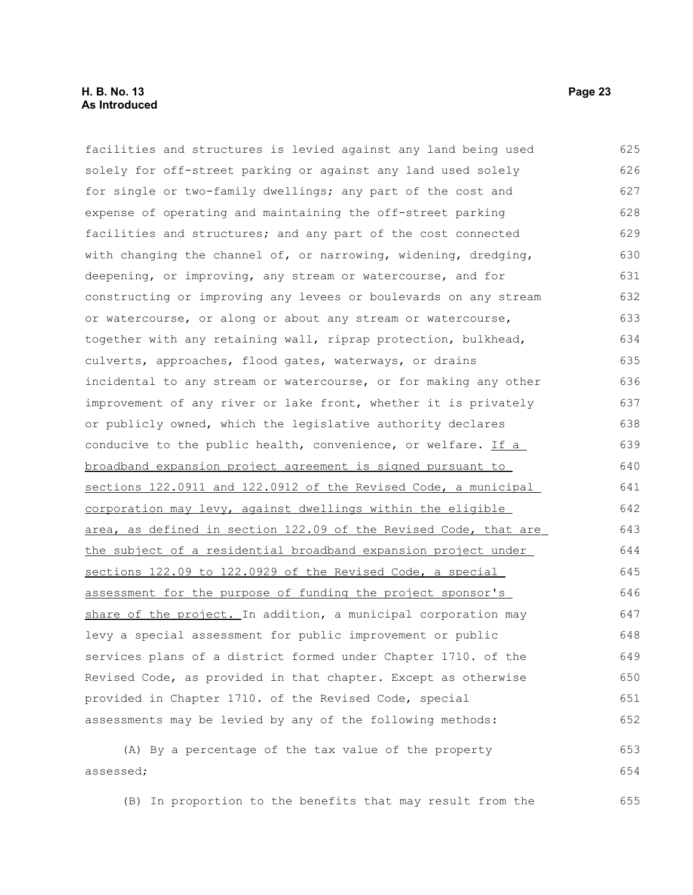#### **H. B. No. 13 Page 23 As Introduced**

facilities and structures is levied against any land being used solely for off-street parking or against any land used solely for single or two-family dwellings; any part of the cost and expense of operating and maintaining the off-street parking facilities and structures; and any part of the cost connected with changing the channel of, or narrowing, widening, dredging, deepening, or improving, any stream or watercourse, and for constructing or improving any levees or boulevards on any stream or watercourse, or along or about any stream or watercourse, together with any retaining wall, riprap protection, bulkhead, culverts, approaches, flood gates, waterways, or drains incidental to any stream or watercourse, or for making any other improvement of any river or lake front, whether it is privately or publicly owned, which the legislative authority declares conducive to the public health, convenience, or welfare. If a broadband expansion project agreement is signed pursuant to sections 122.0911 and 122.0912 of the Revised Code, a municipal corporation may levy, against dwellings within the eligible area, as defined in section 122.09 of the Revised Code, that are the subject of a residential broadband expansion project under sections 122.09 to 122.0929 of the Revised Code, a special assessment for the purpose of funding the project sponsor's share of the project. In addition, a municipal corporation may levy a special assessment for public improvement or public services plans of a district formed under Chapter 1710. of the Revised Code, as provided in that chapter. Except as otherwise provided in Chapter 1710. of the Revised Code, special assessments may be levied by any of the following methods: (A) By a percentage of the tax value of the property assessed; 625 626 627 628 629 630 631 632 633 634 635 636 637 638 639 640 641 642 643 644 645 646 647 648 649 650 651 652 653 654

(B) In proportion to the benefits that may result from the 655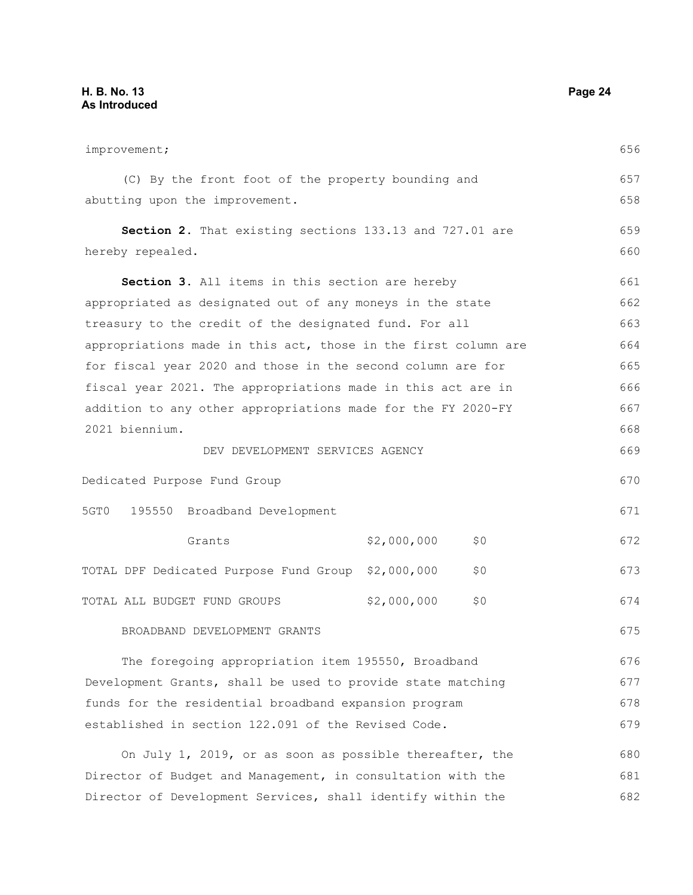| improvement;                                                   |             |     | 656 |
|----------------------------------------------------------------|-------------|-----|-----|
| (C) By the front foot of the property bounding and             |             |     | 657 |
| abutting upon the improvement.                                 |             |     | 658 |
| Section 2. That existing sections 133.13 and 727.01 are        |             |     | 659 |
| hereby repealed.                                               |             |     | 660 |
| Section 3. All items in this section are hereby                |             |     | 661 |
| appropriated as designated out of any moneys in the state      |             |     | 662 |
| treasury to the credit of the designated fund. For all         |             |     | 663 |
| appropriations made in this act, those in the first column are |             |     | 664 |
| for fiscal year 2020 and those in the second column are for    |             |     | 665 |
| fiscal year 2021. The appropriations made in this act are in   |             |     | 666 |
| addition to any other appropriations made for the FY 2020-FY   |             |     | 667 |
| 2021 biennium.                                                 |             |     | 668 |
| DEV DEVELOPMENT SERVICES AGENCY                                |             |     | 669 |
| Dedicated Purpose Fund Group                                   |             |     | 670 |
| 5GT0<br>195550 Broadband Development                           |             |     | 671 |
| Grants                                                         | \$2,000,000 | \$0 | 672 |
| TOTAL DPF Dedicated Purpose Fund Group                         | \$2,000,000 | \$0 | 673 |
| TOTAL ALL BUDGET FUND GROUPS                                   | \$2,000,000 | \$0 | 674 |
| BROADBAND DEVELOPMENT GRANTS                                   |             |     | 675 |
| The foregoing appropriation item 195550, Broadband             |             |     | 676 |
| Development Grants, shall be used to provide state matching    |             |     | 677 |
| funds for the residential broadband expansion program          |             |     | 678 |
| established in section 122.091 of the Revised Code.            |             |     | 679 |
| On July 1, 2019, or as soon as possible thereafter, the        |             |     | 680 |
| Director of Budget and Management, in consultation with the    |             |     | 681 |

Director of Development Services, shall identify within the  $\mathbf{1}$ 682